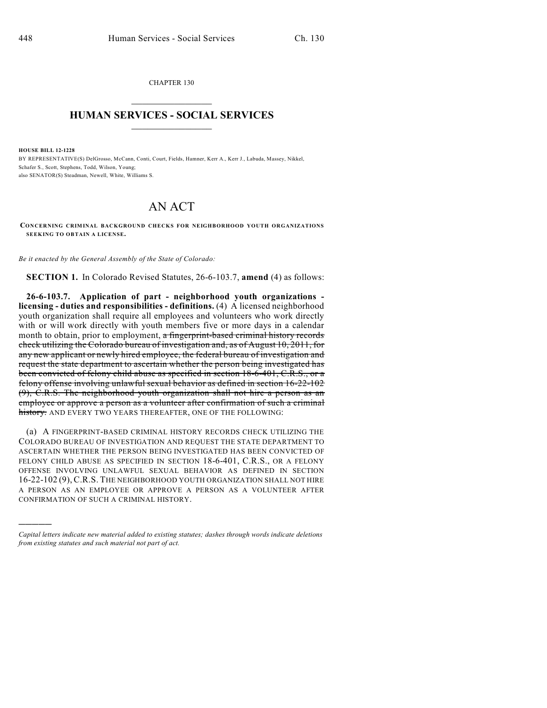CHAPTER 130  $\mathcal{L}_\text{max}$  . The set of the set of the set of the set of the set of the set of the set of the set of the set of the set of the set of the set of the set of the set of the set of the set of the set of the set of the set

## **HUMAN SERVICES - SOCIAL SERVICES**  $\frac{1}{2}$  ,  $\frac{1}{2}$  ,  $\frac{1}{2}$  ,  $\frac{1}{2}$  ,  $\frac{1}{2}$  ,  $\frac{1}{2}$

**HOUSE BILL 12-1228**

)))))

BY REPRESENTATIVE(S) DelGrosso, McCann, Conti, Court, Fields, Hamner, Kerr A., Kerr J., Labuda, Massey, Nikkel, Schafer S., Scott, Stephens, Todd, Wilson, Young; also SENATOR(S) Steadman, Newell, White, Williams S.

## AN ACT

**CONCERNING CRIMINAL BACKGROUND CHECKS FOR NEIGHBORHOOD YOUTH ORGANIZATIONS SEEKING TO OBTAIN A LICENSE.**

*Be it enacted by the General Assembly of the State of Colorado:*

**SECTION 1.** In Colorado Revised Statutes, 26-6-103.7, **amend** (4) as follows:

**26-6-103.7. Application of part - neighborhood youth organizations licensing - duties and responsibilities - definitions.** (4) A licensed neighborhood youth organization shall require all employees and volunteers who work directly with or will work directly with youth members five or more days in a calendar month to obtain, prior to employment, a fingerprint-based criminal history records check utilizing the Colorado bureau of investigation and, as of August 10, 2011, for any new applicant or newly hired employee, the federal bureau of investigation and request the state department to ascertain whether the person being investigated has been convicted of felony child abuse as specified in section 18-6-401, C.R.S., or a felony offense involving unlawful sexual behavior as defined in section 16-22-102 (9), C.R.S. The neighborhood youth organization shall not hire a person as an employee or approve a person as a volunteer after confirmation of such a criminal history. AND EVERY TWO YEARS THEREAFTER, ONE OF THE FOLLOWING:

(a) A FINGERPRINT-BASED CRIMINAL HISTORY RECORDS CHECK UTILIZING THE COLORADO BUREAU OF INVESTIGATION AND REQUEST THE STATE DEPARTMENT TO ASCERTAIN WHETHER THE PERSON BEING INVESTIGATED HAS BEEN CONVICTED OF FELONY CHILD ABUSE AS SPECIFIED IN SECTION 18-6-401, C.R.S., OR A FELONY OFFENSE INVOLVING UNLAWFUL SEXUAL BEHAVIOR AS DEFINED IN SECTION 16-22-102 (9), C.R.S. THE NEIGHBORHOOD YOUTH ORGANIZATION SHALL NOT HIRE A PERSON AS AN EMPLOYEE OR APPROVE A PERSON AS A VOLUNTEER AFTER CONFIRMATION OF SUCH A CRIMINAL HISTORY.

*Capital letters indicate new material added to existing statutes; dashes through words indicate deletions from existing statutes and such material not part of act.*